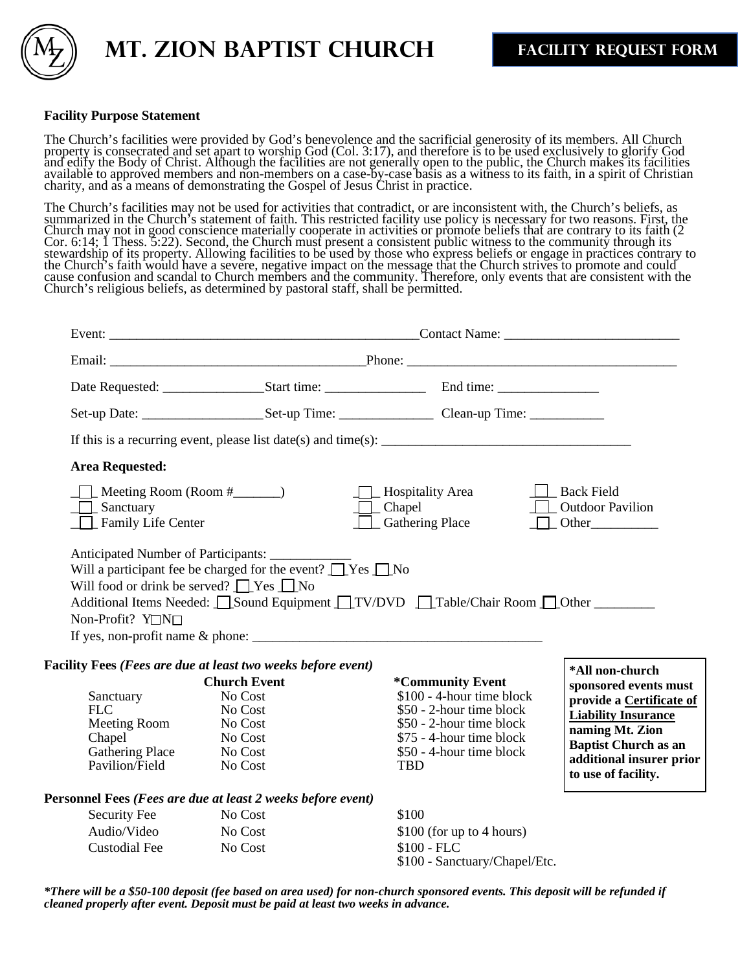

 **MT. ZION BAPTIST CHURCH FACILITY REQUEST FORM**

## **Facility Purpose Statement**

The Church's facilities were provided by God's benevolence and the sacrificial generosity of its members. All Church property is consecrated and set apart to worship God (Col. 3:17), and therefore is to be used exclusively to glorify God and edify the Body of Christ. Although the facilities are not generally open to the public, the Church makes its facilities available to approved members and non-members on a case-by-case basis as a witness to its faith, in a spirit of Christian charity, and as a means of demonstrating the Gospel of Jesus Christ in practice.

The Church's facilities may not be used for activities that contradict, or are inconsistent with, the Church's beliefs, as summarized in the Church's statement of faith. This restricted facility use policy is necessary for two reasons. First, the Church may not in good conscience materially cooperate in activities or promote beliefs that are contrary to its faith (2 Cor. 6:14; 1 Thess. 5:22). Second, the Church must present a consistent public witness to the community through its stewardship of its property. Allowing facilities to be used by those who express beliefs or engage in practices contrary to the Church's faith would have a severe, negative impact on the message that the Church strives to promote and could cause confusion and scandal to Church members and the community. Therefore, only events that are consistent with the Church's religious beliefs, as determined by pastoral staff, shall be permitted.

|                                                                                               |                                                                                                                             | If this is a recurring event, please list date(s) and time(s): $\frac{1}{\sqrt{1-\frac{1}{n}}}\left  \frac{1}{n} \right $                                                   |                                                                                                                                                                                      |  |
|-----------------------------------------------------------------------------------------------|-----------------------------------------------------------------------------------------------------------------------------|-----------------------------------------------------------------------------------------------------------------------------------------------------------------------------|--------------------------------------------------------------------------------------------------------------------------------------------------------------------------------------|--|
| <b>Area Requested:</b>                                                                        |                                                                                                                             |                                                                                                                                                                             |                                                                                                                                                                                      |  |
| $\Box$ Sanctuary<br>$\Box$ Family Life Center                                                 | $\Box$ Meeting Room (Room # $\Box$ )                                                                                        | $\Box$ Hospitality Area<br>$\Box$ Chapel<br><b>Gathering Place</b>                                                                                                          | Back Field<br><b>C</b> Outdoor Pavilion<br>$\n  Other$                                                                                                                               |  |
| Non-Profit? Y□N□                                                                              | Will a participant fee be charged for the event? $\Box$ Yes $\Box$ No<br>Will food or drink be served? $\Box$ Yes $\Box$ No | Additional Items Needed: Sound Equipment TV/DVD Table/Chair Room DOther                                                                                                     |                                                                                                                                                                                      |  |
|                                                                                               |                                                                                                                             |                                                                                                                                                                             |                                                                                                                                                                                      |  |
|                                                                                               | Facility Fees (Fees are due at least two weeks before event)                                                                |                                                                                                                                                                             | *All non-church                                                                                                                                                                      |  |
| Sanctuary<br><b>FLC</b><br>Meeting Room<br>Chapel<br><b>Gathering Place</b><br>Pavilion/Field | <b>Church Event</b><br>No Cost<br>No Cost<br>No Cost<br>No Cost<br>No Cost<br>No Cost                                       | *Community Event<br>\$100 - 4-hour time block<br>\$50 - 2-hour time block<br>\$50 - 2-hour time block<br>\$75 - 4-hour time block<br>\$50 - 4-hour time block<br><b>TBD</b> | sponsored events must<br>provide a Certificate of<br><b>Liability Insurance</b><br>naming Mt. Zion<br><b>Baptist Church as an</b><br>additional insurer prior<br>to use of facility. |  |
|                                                                                               |                                                                                                                             |                                                                                                                                                                             |                                                                                                                                                                                      |  |
| Security Fee                                                                                  | Personnel Fees (Fees are due at least 2 weeks before event)<br>No Cost                                                      | \$100                                                                                                                                                                       |                                                                                                                                                                                      |  |

\*There will be a \$50-100 deposit (fee based on area used) for non-church sponsored events. This deposit will be refunded if *cleaned properly after event. Deposit must be paid at least two weeks in advance.*